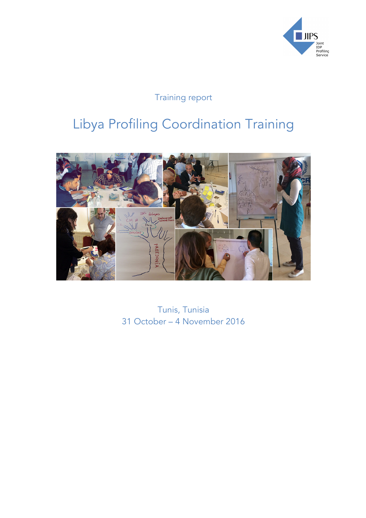

# Training report

# Libya Profiling Coordination Training



Tunis, Tunisia 31 October – 4 November 2016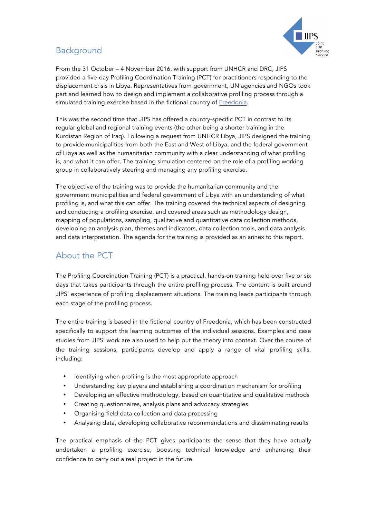

## Background

From the 31 October – 4 November 2016, with support from UNHCR and DRC, JIPS provided a five-day Profiling Coordination Training (PCT) for practitioners responding to the displacement crisis in Libya. Representatives from government, UN agencies and NGOs took part and learned how to design and implement a collaborative profiling process through a simulated training exercise based in the fictional country of Freedonia.

This was the second time that JIPS has offered a country-specific PCT in contrast to its regular global and regional training events (the other being a shorter training in the Kurdistan Region of Iraq). Following a request from UNHCR Libya, JIPS designed the training to provide municipalities from both the East and West of Libya, and the federal government of Libya as well as the humanitarian community with a clear understanding of what profiling is, and what it can offer. The training simulation centered on the role of a profiling working group in collaboratively steering and managing any profiling exercise.

The objective of the training was to provide the humanitarian community and the government municipalities and federal government of Libya with an understanding of what profiling is, and what this can offer. The training covered the technical aspects of designing and conducting a profiling exercise, and covered areas such as methodology design, mapping of populations, sampling, qualitative and quantitative data collection methods, developing an analysis plan, themes and indicators, data collection tools, and data analysis and data interpretation. The agenda for the training is provided as an annex to this report.

## About the PCT

The Profiling Coordination Training (PCT) is a practical, hands-on training held over five or six days that takes participants through the entire profiling process. The content is built around JIPS' experience of profiling displacement situations. The training leads participants through each stage of the profiling process.

The entire training is based in the fictional country of Freedonia, which has been constructed specifically to support the learning outcomes of the individual sessions. Examples and case studies from JIPS' work are also used to help put the theory into context. Over the course of the training sessions, participants develop and apply a range of vital profiling skills, including:

- Identifying when profiling is the most appropriate approach
- Understanding key players and establishing a coordination mechanism for profiling
- Developing an effective methodology, based on quantitative and qualitative methods
- Creating questionnaires, analysis plans and advocacy strategies
- Organising field data collection and data processing
- Analysing data, developing collaborative recommendations and disseminating results

The practical emphasis of the PCT gives participants the sense that they have actually undertaken a profiling exercise, boosting technical knowledge and enhancing their confidence to carry out a real project in the future.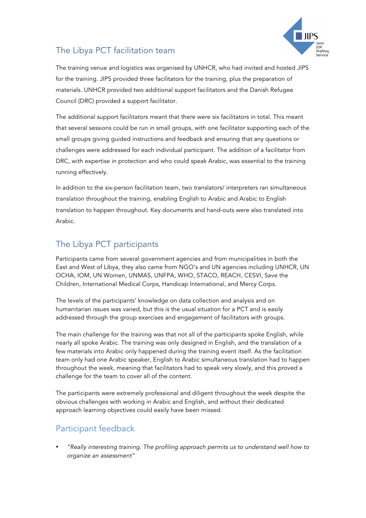

# The Libya PCT facilitation team

The training venue and logistics was organised by UNHCR, who had invited and hosted JIPS for the training. JIPS provided three facilitators for the training, plus the preparation of materials. UNHCR provided two additional support facilitators and the Danish Refugee Council (DRC) provided a support facilitator.

The additional support facilitators meant that there were six facilitators in total. This meant that several sessions could be run in small groups, with one facilitator supporting each of the small groups giving guided instructions and feedback and ensuring that any questions or challenges were addressed for each individual participant. The addition of a facilitator from DRC, with expertise in protection and who could speak Arabic, was essential to the training running effectively.

In addition to the six-person facilitation team, two translators/ interpreters ran simultaneous translation throughout the training, enabling English to Arabic and Arabic to English translation to happen throughout. Key documents and hand-outs were also translated into Arabic.

# The Libya PCT participants

Participants came from several government agencies and from municipalities in both the East and West of Libya, they also came from NGO's and UN agencies including UNHCR, UN OCHA, IOM, UN Women, UNMAS, UNFPA, WHO, STACO, REACH, CESVI, Save the Children, International Medical Corps, Handicap International, and Mercy Corps.

The levels of the participants' knowledge on data collection and analysis and on humanitarian issues was varied, but this is the usual situation for a PCT and is easily addressed through the group exercises and engagement of facilitators with groups.

The main challenge for the training was that not all of the participants spoke English, while nearly all spoke Arabic. The training was only designed in English, and the translation of a few materials into Arabic only happened during the training event itself. As the facilitation team only had one Arabic speaker, English to Arabic simultaneous translation had to happen throughout the week, meaning that facilitators had to speak very slowly, and this proved a challenge for the team to cover all of the content.

The participants were extremely professional and diligent throughout the week despite the obvious challenges with working in Arabic and English, and without their dedicated approach learning objectives could easily have been missed.

## Participant feedback

• *"Really interesting training. The profiling approach permits us to understand well how to organize an assessment"*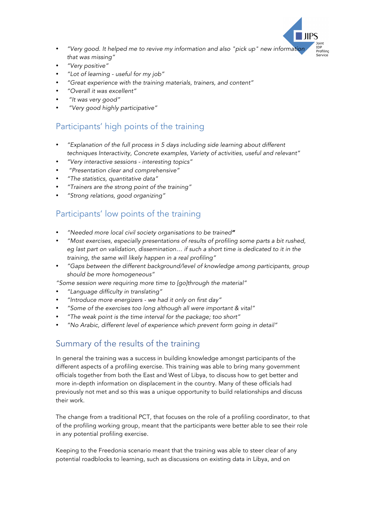

- *"Very good. It helped me to revive my information and also "pick up" new information that was missing"*
- *"Very positive"*
- *"Lot of learning - useful for my job"*
- *"Great experience with the training materials, trainers, and content"*
- *"Overall it was excellent"*
- *"It was very good"*
- *"Very good highly participative"*

## Participants' high points of the training

- *"Explanation of the full process in 5 days including side learning about different techniques Interactivity, Concrete examples, Variety of activities, useful and relevant"*
- *"Very interactive sessions - interesting topics"*
- *"Presentation clear and comprehensive"*
- *"The statistics, quantitative data"*
- *"Trainers are the strong point of the training"*
- *"Strong relations, good organizing"*

#### Participants' low points of the training

- *"Needed more local civil society organisations to be trained"*
- *"Most exercises, especially presentations of results of profiling some parts a bit rushed, eg last part on validation, dissemination… if such a short time is dedicated to it in the training, the same will likely happen in a real profiling"*
- *"Gaps between the different background/level of knowledge among participants, group should be more homogeneous"*

*"Some session were requiring more time to [go]through the material"* 

- *"Language difficulty in translating"*
- *"Introduce more energizers - we had it only on first day"*
- *"Some of the exercises too long although all were important & vital"*
- *"The weak point is the time interval for the package; too short"*
- *"No Arabic, different level of experience which prevent form going in detail"*

#### Summary of the results of the training

In general the training was a success in building knowledge amongst participants of the different aspects of a profiling exercise. This training was able to bring many government officials together from both the East and West of Libya, to discuss how to get better and more in-depth information on displacement in the country. Many of these officials had previously not met and so this was a unique opportunity to build relationships and discuss their work.

The change from a traditional PCT, that focuses on the role of a profiling coordinator, to that of the profiling working group, meant that the participants were better able to see their role in any potential profiling exercise.

Keeping to the Freedonia scenario meant that the training was able to steer clear of any potential roadblocks to learning, such as discussions on existing data in Libya, and on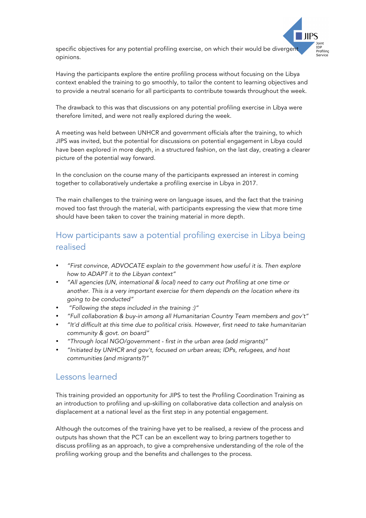

specific objectives for any potential profiling exercise, on which their would be divergent opinions.

Having the participants explore the entire profiling process without focusing on the Libya context enabled the training to go smoothly, to tailor the content to learning objectives and to provide a neutral scenario for all participants to contribute towards throughout the week.

The drawback to this was that discussions on any potential profiling exercise in Libya were therefore limited, and were not really explored during the week.

A meeting was held between UNHCR and government officials after the training, to which JIPS was invited, but the potential for discussions on potential engagement in Libya could have been explored in more depth, in a structured fashion, on the last day, creating a clearer picture of the potential way forward.

In the conclusion on the course many of the participants expressed an interest in coming together to collaboratively undertake a profiling exercise in Libya in 2017.

The main challenges to the training were on language issues, and the fact that the training moved too fast through the material, with participants expressing the view that more time should have been taken to cover the training material in more depth.

### How participants saw a potential profiling exercise in Libya being realised

- *"First convince, ADVOCATE explain to the government how useful it is. Then explore how to ADAPT it to the Libyan context"*
- *"All agencies (UN, international & local) need to carry out Profiling at one time or another. This is a very important exercise for them depends on the location where its going to be conducted"*
- *"Following the steps included in the training :)"*
- *"Full collaboration & buy-in among all Humanitarian Country Team members and gov't"*
- *"It'd difficult at this time due to political crisis. However, first need to take humanitarian community & govt. on board"*
- *"Through local NGO/government - first in the urban area (add migrants)"*
- *"Initiated by UNHCR and gov't, focused on urban areas; IDPs, refugees, and host communities (and migrants?)"*

#### Lessons learned

This training provided an opportunity for JIPS to test the Profiling Coordination Training as an introduction to profiling and up-skilling on collaborative data collection and analysis on displacement at a national level as the first step in any potential engagement.

Although the outcomes of the training have yet to be realised, a review of the process and outputs has shown that the PCT can be an excellent way to bring partners together to discuss profiling as an approach, to give a comprehensive understanding of the role of the profiling working group and the benefits and challenges to the process.